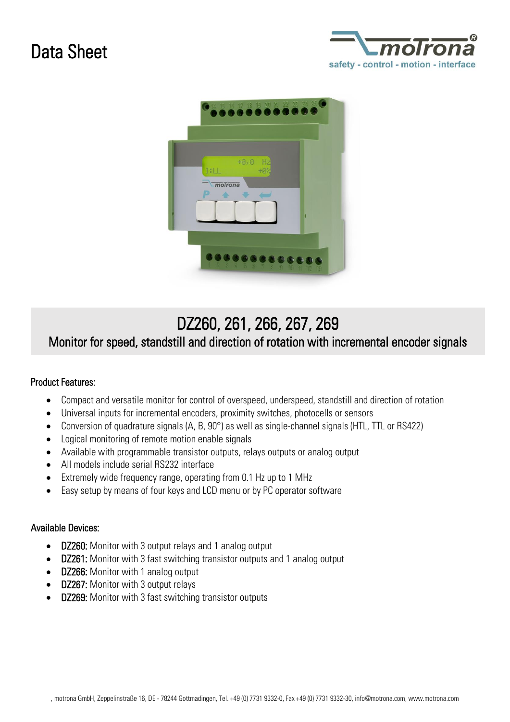# Data Sheet





## DZ260, 261, 266, 267, 269

## Monitor for speed, standstill and direction of rotation with incremental encoder signals

### Product Features:

- Compact and versatile monitor for control of overspeed, underspeed, standstill and direction of rotation
- Universal inputs for incremental encoders, proximity switches, photocells or sensors
- Conversion of quadrature signals (A, B, 90°) as well as single-channel signals (HTL, TTL or RS422)
- Logical monitoring of remote motion enable signals
- Available with programmable transistor outputs, relays outputs or analog output
- All models include serial RS232 interface
- Extremely wide frequency range, operating from 0.1 Hz up to 1 MHz
- Easy setup by means of four keys and LCD menu or by PC operator software

#### Available Devices:

- DZ260: Monitor with 3 output relays and 1 analog output
- DZ261: Monitor with 3 fast switching transistor outputs and 1 analog output
- DZ266: Monitor with 1 analog output
- DZ267: Monitor with 3 output relays
- **DZ269:** Monitor with 3 fast switching transistor outputs